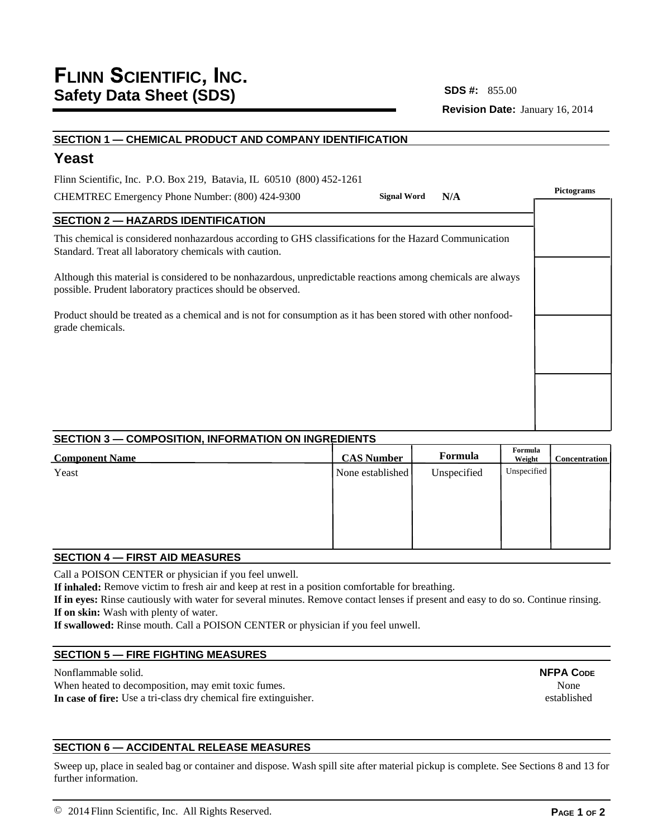# **SDS #:**

**Revision Date:** January 16, 2014

# **SECTION 1 — CHEMICAL PRODUCT AND COMPANY IDENTIFICATION Yeast SECTION 2 — HAZARDS IDENTIFICATION** This chemical is considered nonhazardous according to GHS classifications for the Hazard Communication Standard. Treat all laboratory chemicals with caution. Although this material is considered to be nonhazardous, unpredictable reactions among chemicals are always possible. Prudent laboratory practices should be observed. Product should be treated as a chemical and is not for consumption as it has been stored with other nonfoodgrade chemicals. CHEMTREC Emergency Phone Number: (800) 424-9300 Flinn Scientific, Inc. P.O. Box 219, Batavia, IL 60510 (800) 452-1261 **Pictograms Signal Word N/A**

# **SECTION 3 — COMPOSITION, INFORMATION ON INGREDIENTS**

| <b>Component Name</b> | <b>CAS Number</b> | Formula     | Formula<br>Weight | <b>Concentration</b> |
|-----------------------|-------------------|-------------|-------------------|----------------------|
| Yeast                 | None established  | Unspecified | Unspecified       |                      |
|                       |                   |             |                   |                      |
|                       |                   |             |                   |                      |
|                       |                   |             |                   |                      |
|                       |                   |             |                   |                      |

#### **SECTION 4 — FIRST AID MEASURES**

Call a POISON CENTER or physician if you feel unwell.

**If inhaled:** Remove victim to fresh air and keep at rest in a position comfortable for breathing.

**If in eyes:** Rinse cautiously with water for several minutes. Remove contact lenses if present and easy to do so. Continue rinsing. **If on skin:** Wash with plenty of water.

**If swallowed:** Rinse mouth. Call a POISON CENTER or physician if you feel unwell.

#### **SECTION 5 — FIRE FIGHTING MEASURES**

Nonflammable solid.

When heated to decomposition, may emit toxic fumes. **In case of fire:** Use a tri-class dry chemical fire extinguisher.

# **SECTION 6 — ACCIDENTAL RELEASE MEASURES**

Sweep up, place in sealed bag or container and dispose. Wash spill site after material pickup is complete. See Sections 8 and 13 for further information.

**NFPA CODE** None established